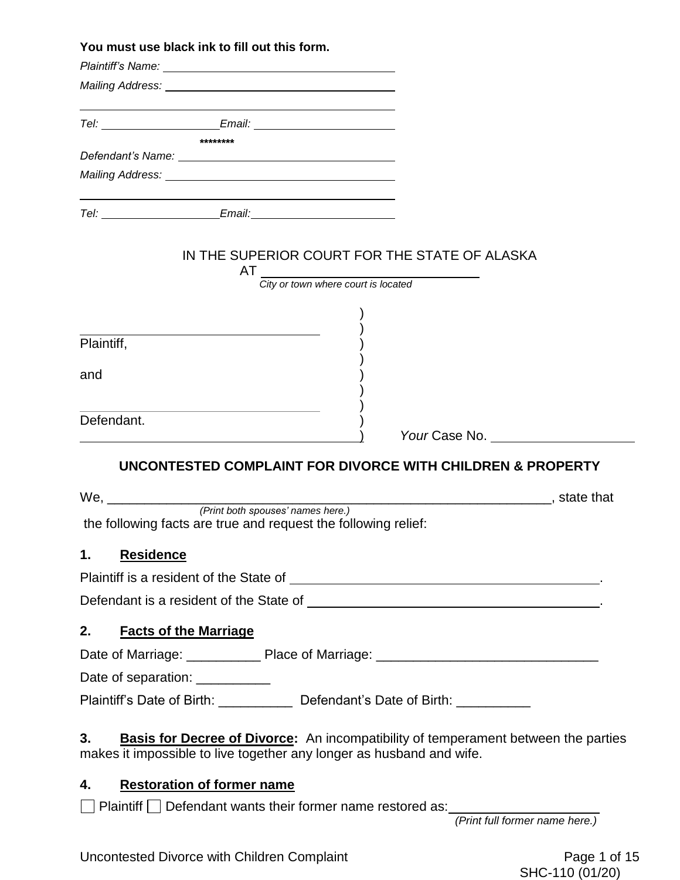| You must use black ink to fill out this form.                                                                                       |                                                                                                                                                                   |
|-------------------------------------------------------------------------------------------------------------------------------------|-------------------------------------------------------------------------------------------------------------------------------------------------------------------|
|                                                                                                                                     |                                                                                                                                                                   |
|                                                                                                                                     |                                                                                                                                                                   |
|                                                                                                                                     |                                                                                                                                                                   |
| ********                                                                                                                            |                                                                                                                                                                   |
|                                                                                                                                     |                                                                                                                                                                   |
|                                                                                                                                     |                                                                                                                                                                   |
|                                                                                                                                     |                                                                                                                                                                   |
| AT                                                                                                                                  | IN THE SUPERIOR COURT FOR THE STATE OF ALASKA<br>City or town where court is located                                                                              |
| <u> 1980 - Johann Barbara, martin amerikan basal dan berasal dalam basal dalam basal dalam basal dalam basal dala</u><br>Plaintiff, |                                                                                                                                                                   |
| and                                                                                                                                 |                                                                                                                                                                   |
| Defendant.                                                                                                                          | Your Case No. No. 2008 No. 2012                                                                                                                                   |
|                                                                                                                                     | UNCONTESTED COMPLAINT FOR DIVORCE WITH CHILDREN & PROPERTY                                                                                                        |
| We. ______________                                                                                                                  |                                                                                                                                                                   |
| the following facts are true and request the following relief:                                                                      | (Print both spouses' names here.) State that                                                                                                                      |
| <b>Residence</b><br>1.                                                                                                              |                                                                                                                                                                   |
|                                                                                                                                     |                                                                                                                                                                   |
|                                                                                                                                     |                                                                                                                                                                   |
| <b>Facts of the Marriage</b><br>2.                                                                                                  |                                                                                                                                                                   |
|                                                                                                                                     | Date of Marriage: ________________ Place of Marriage: ___________________________                                                                                 |
|                                                                                                                                     |                                                                                                                                                                   |
| Date of separation: __________                                                                                                      |                                                                                                                                                                   |
|                                                                                                                                     | Plaintiff's Date of Birth: ___________ Defendant's Date of Birth: __________                                                                                      |
| 3.                                                                                                                                  | <b>Basis for Decree of Divorce:</b> An incompatibility of temperament between the parties<br>makes it impossible to live together any longer as husband and wife. |
| <b>Restoration of former name</b><br>4.                                                                                             |                                                                                                                                                                   |
|                                                                                                                                     | Plaintiff     Defendant wants their former name restored as:<br>(Print full former name here.)                                                                    |
|                                                                                                                                     |                                                                                                                                                                   |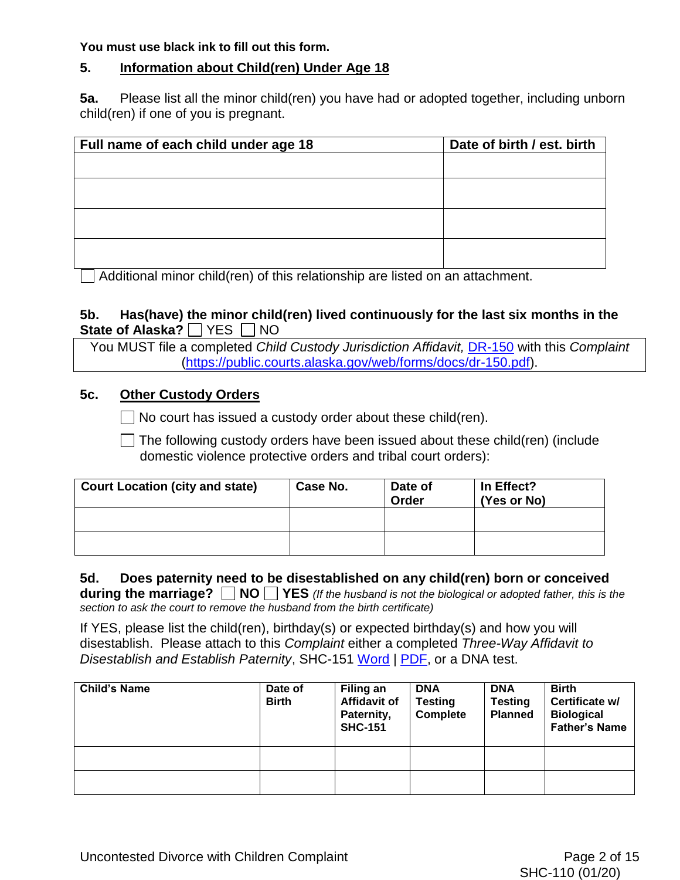### **5. Information about Child(ren) Under Age 18**

**5a.** Please list all the minor child(ren) you have had or adopted together, including unborn child(ren) if one of you is pregnant.

| Full name of each child under age 18 | Date of birth / est. birth |
|--------------------------------------|----------------------------|
|                                      |                            |
|                                      |                            |
|                                      |                            |
|                                      |                            |

 $\Box$  Additional minor child(ren) of this relationship are listed on an attachment.

#### **5b. Has(have) the minor child(ren) lived continuously for the last six months in the State of Alaska?** YES NO

You MUST file a completed *Child Custody Jurisdiction Affidavit,* [DR-150](https://public.courts.alaska.gov/web/forms/docs/dr-150.pdf) with this *Complaint* [\(https://public.courts.alaska.gov/web/forms/docs/dr-150.pdf\)](https://public.courts.alaska.gov/web/forms/docs/dr-150.pdf).

### **5c. Other Custody Orders**

 $\Box$  No court has issued a custody order about these child(ren).

 $\Box$  The following custody orders have been issued about these child(ren) (include domestic violence protective orders and tribal court orders):

| <b>Court Location (city and state)</b> | Case No. | Date of<br>Order | In Effect?<br>(Yes or No) |
|----------------------------------------|----------|------------------|---------------------------|
|                                        |          |                  |                           |
|                                        |          |                  |                           |

# **5d. Does paternity need to be disestablished on any child(ren) born or conceived**

**during the marriage? NO YES** *(If the husband is not the biological or adopted father, this is the section to ask the court to remove the husband from the birth certificate)*

If YES, please list the child(ren), birthday(s) or expected birthday(s) and how you will disestablish. Please attach to this *Complaint* either a completed *Three-Way Affidavit to Disestablish and Establish Paternity*, SHC-151 [Word](http://www.courts.alaska.gov/shc/family/docs/shc-151.doc) | [PDF,](http://www.courts.alaska.gov/shc/family/docs/shc-151n.pdf) or a DNA test.

| <b>Child's Name</b> | Date of<br><b>Birth</b> | Filing an<br><b>Affidavit of</b><br>Paternity,<br><b>SHC-151</b> | <b>DNA</b><br><b>Testing</b><br>Complete | <b>DNA</b><br><b>Testing</b><br><b>Planned</b> | <b>Birth</b><br>Certificate w/<br><b>Biological</b><br><b>Father's Name</b> |
|---------------------|-------------------------|------------------------------------------------------------------|------------------------------------------|------------------------------------------------|-----------------------------------------------------------------------------|
|                     |                         |                                                                  |                                          |                                                |                                                                             |
|                     |                         |                                                                  |                                          |                                                |                                                                             |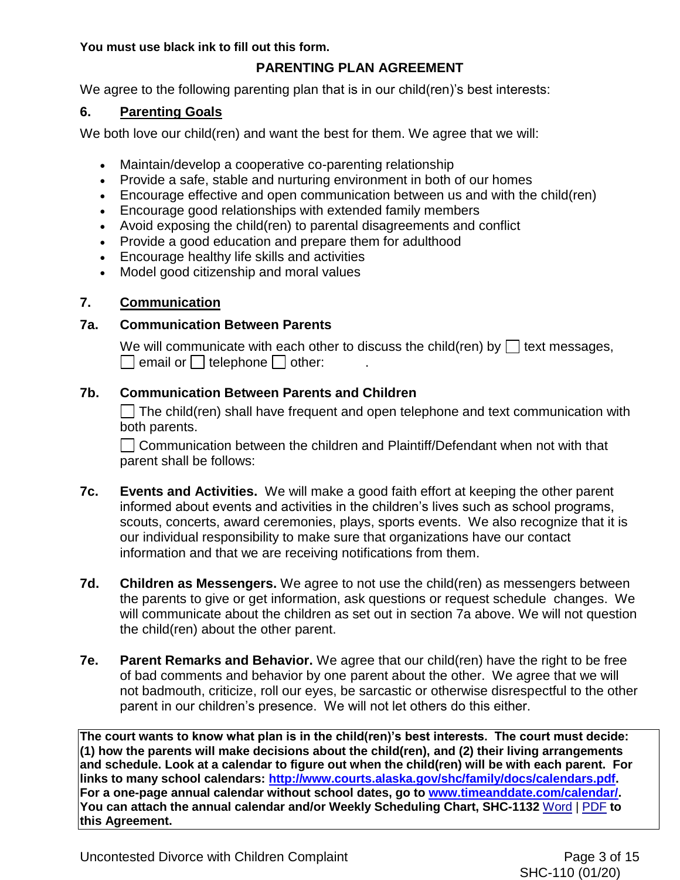## **PARENTING PLAN AGREEMENT**

We agree to the following parenting plan that is in our child(ren)'s best interests:

### **6. Parenting Goals**

We both love our child(ren) and want the best for them. We agree that we will:

- Maintain/develop a cooperative co-parenting relationship
- Provide a safe, stable and nurturing environment in both of our homes
- Encourage effective and open communication between us and with the child(ren)
- Encourage good relationships with extended family members
- Avoid exposing the child(ren) to parental disagreements and conflict
- Provide a good education and prepare them for adulthood
- Encourage healthy life skills and activities
- Model good citizenship and moral values

### **7. Communication**

### **7a. Communication Between Parents**

We will communicate with each other to discuss the child(ren) by  $\Box$  text messages,  $\Box$  email or  $\Box$  telephone  $\Box$  other:

### **7b. Communication Between Parents and Children**

 $\Box$  The child(ren) shall have frequent and open telephone and text communication with both parents.

Communication between the children and Plaintiff/Defendant when not with that parent shall be follows:

- **7c. Events and Activities.** We will make a good faith effort at keeping the other parent informed about events and activities in the children's lives such as school programs, scouts, concerts, award ceremonies, plays, sports events. We also recognize that it is our individual responsibility to make sure that organizations have our contact information and that we are receiving notifications from them.
- **7d. Children as Messengers.** We agree to not use the child(ren) as messengers between the parents to give or get information, ask questions or request schedule changes. We will communicate about the children as set out in section 7a above. We will not question the child(ren) about the other parent.
- **7e. Parent Remarks and Behavior.** We agree that our child(ren) have the right to be free of bad comments and behavior by one parent about the other. We agree that we will not badmouth, criticize, roll our eyes, be sarcastic or otherwise disrespectful to the other parent in our children's presence. We will not let others do this either.

**The court wants to know what plan is in the child(ren)'s best interests. The court must decide: (1) how the parents will make decisions about the child(ren), and (2) their living arrangements and schedule. Look at a calendar to figure out when the child(ren) will be with each parent. For links to many school calendars: [http://www.courts.alaska.gov/shc/family/docs/calendars.pdf.](http://www.courts.alaska.gov/shc/family/docs/calendars.pdf) For a one-page annual calendar without school dates, go to [www.timeanddate.com/calendar/.](http://www.timeanddate.com/calendar/) You can attach the annual calendar and/or Weekly Scheduling Chart, SHC-1132** [Word](http://www.courts.alaska.gov/shc/family/docs/shc-1132.doc) | [PDF](http://www.courts.alaska.gov/shc/family/docs/shc-1132n.pdf) **to this Agreement.**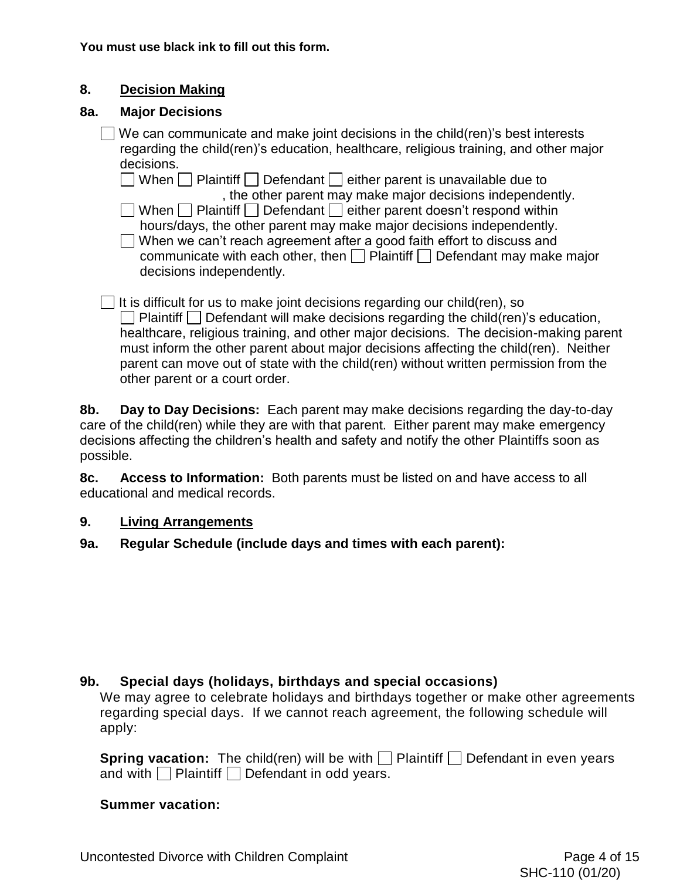### **8. Decision Making**

### **8a. Major Decisions**

| $\Box$ We can communicate and make joint decisions in the child(ren)'s best interests  |
|----------------------------------------------------------------------------------------|
| regarding the child (ren)'s education, healthcare, religious training, and other major |
| decisions.                                                                             |

 $\Box$  When  $\Box$  Plaintiff  $\Box$  Defendant  $\Box$  either parent is unavailable due to , the other parent may make major decisions independently.

| $\Box$ When $\Box$ Plaintiff $\Box$ Defendant $\Box$ either parent doesn't respond within |                                                                      |
|-------------------------------------------------------------------------------------------|----------------------------------------------------------------------|
|                                                                                           | hours/days, the other parent may make major decisions independently. |

 $\Box$  When we can't reach agreement after a good faith effort to discuss and communicate with each other, then  $\Box$  Plaintiff  $\Box$  Defendant may make major decisions independently.

It is difficult for us to make joint decisions regarding our child(ren), so  $\Box$  Plaintiff  $\Box$  Defendant will make decisions regarding the child(ren)'s education, healthcare, religious training, and other major decisions. The decision-making parent must inform the other parent about major decisions affecting the child(ren). Neither parent can move out of state with the child(ren) without written permission from the other parent or a court order.

**8b. Day to Day Decisions:** Each parent may make decisions regarding the day-to-day care of the child(ren) while they are with that parent. Either parent may make emergency decisions affecting the children's health and safety and notify the other Plaintiffs soon as possible.

**8c. Access to Information:** Both parents must be listed on and have access to all educational and medical records.

### **9. Living Arrangements**

**9a. Regular Schedule (include days and times with each parent):** 

### **9b. Special days (holidays, birthdays and special occasions)**

We may agree to celebrate holidays and birthdays together or make other agreements regarding special days. If we cannot reach agreement, the following schedule will apply:

| <b>Spring vacation:</b> The child(ren) will be with $\Box$ Plaintiff $\Box$ Defendant in even years |  |
|-----------------------------------------------------------------------------------------------------|--|
| and with Plaintiff Defendant in odd years.                                                          |  |

### **Summer vacation:**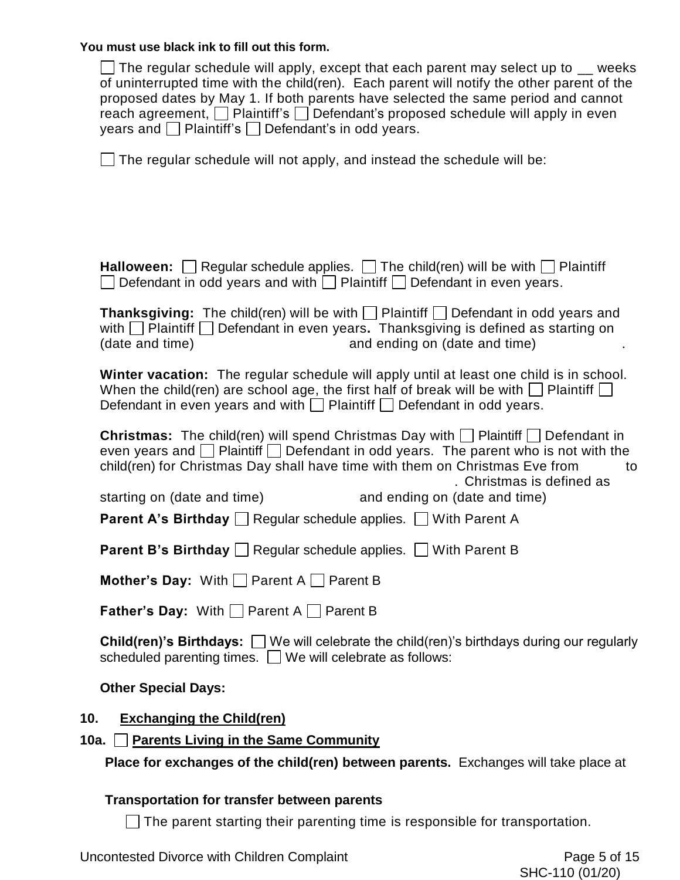| $\Box$ The regular schedule will apply, except that each parent may select up to $\Box$ weeks<br>of uninterrupted time with the child(ren). Each parent will notify the other parent of the<br>proposed dates by May 1. If both parents have selected the same period and cannot<br>reach agreement, $\Box$ Plaintiff's $\Box$ Defendant's proposed schedule will apply in even<br>years and $\Box$ Plaintiff's $\Box$ Defendant's in odd years. |
|--------------------------------------------------------------------------------------------------------------------------------------------------------------------------------------------------------------------------------------------------------------------------------------------------------------------------------------------------------------------------------------------------------------------------------------------------|
| The regular schedule will not apply, and instead the schedule will be:                                                                                                                                                                                                                                                                                                                                                                           |
|                                                                                                                                                                                                                                                                                                                                                                                                                                                  |
|                                                                                                                                                                                                                                                                                                                                                                                                                                                  |
|                                                                                                                                                                                                                                                                                                                                                                                                                                                  |
| <b>Halloween:</b> $\Box$ Regular schedule applies. $\Box$ The child(ren) will be with $\Box$ Plaintiff<br>Defendant in odd years and with $\Box$ Plaintiff $\Box$ Defendant in even years.                                                                                                                                                                                                                                                       |
| <b>Thanksgiving:</b> The child(ren) will be with $\Box$ Plaintiff $\Box$ Defendant in odd years and<br>with $\Box$ Plaintiff $\Box$ Defendant in even years. Thanksgiving is defined as starting on<br>and ending on (date and time)<br>(date and time)                                                                                                                                                                                          |
| Winter vacation: The regular schedule will apply until at least one child is in school.<br>When the child(ren) are school age, the first half of break will be with $\Box$ Plaintiff $\Box$<br>Defendant in even years and with $\Box$ Plaintiff $\Box$ Defendant in odd years.                                                                                                                                                                  |
| <b>Christmas:</b> The child(ren) will spend Christmas Day with $\Box$ Plaintiff $\Box$ Defendant in<br>even years and $\Box$ Plaintiff $\Box$ Defendant in odd years. The parent who is not with the<br>child(ren) for Christmas Day shall have time with them on Christmas Eve from<br>to<br>. Christmas is defined as                                                                                                                          |
| and ending on (date and time)<br>starting on (date and time)                                                                                                                                                                                                                                                                                                                                                                                     |
| <b>Parent A's Birthday</b>   Regular schedule applies.   With Parent A                                                                                                                                                                                                                                                                                                                                                                           |
| <b>Parent B's Birthday</b> $\Box$ Regular schedule applies. $\Box$ With Parent B                                                                                                                                                                                                                                                                                                                                                                 |
| <b>Mother's Day:</b> With $\Box$ Parent A $\Box$ Parent B                                                                                                                                                                                                                                                                                                                                                                                        |
| <b>Father's Day:</b> With $\Box$ Parent A $\Box$ Parent B                                                                                                                                                                                                                                                                                                                                                                                        |
| <b>Child(ren)'s Birthdays:</b> $\Box$ We will celebrate the child(ren)'s birthdays during our regularly<br>scheduled parenting times. We will celebrate as follows:                                                                                                                                                                                                                                                                              |
| <b>Other Special Days:</b>                                                                                                                                                                                                                                                                                                                                                                                                                       |
| 10.<br><b>Exchanging the Child(ren)</b>                                                                                                                                                                                                                                                                                                                                                                                                          |
| <b>Parents Living in the Same Community</b><br>10a.                                                                                                                                                                                                                                                                                                                                                                                              |
| Place for exchanges of the child(ren) between parents. Exchanges will take place at                                                                                                                                                                                                                                                                                                                                                              |

**Transportation for transfer between parents**

The parent starting their parenting time is responsible for transportation.

Uncontested Divorce with Children Complaint **Page 5 of 15**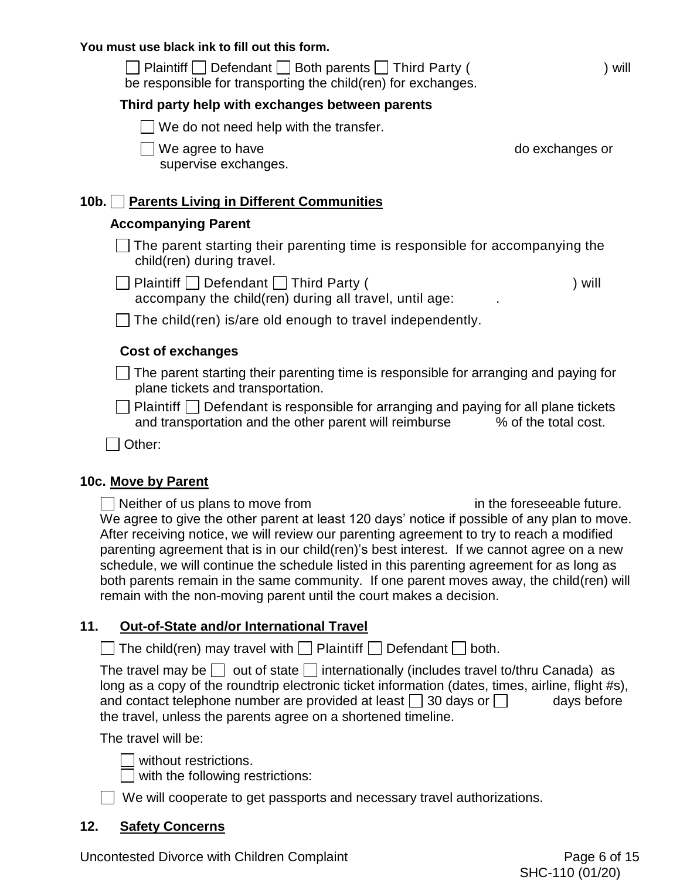$\Box$  Plaintiff  $\Box$  Defendant  $\Box$  Both parents  $\Box$  Third Party ( ) will be responsible for transporting the child(ren) for exchanges.

#### **Third party help with exchanges between parents**

 $\Box$  We do not need help with the transfer.

 $\Box$  We agree to have do exchanges or

supervise exchanges.

### **10b. Parents Living in Different Communities**

### **Accompanying Parent**

- $\Box$  The parent starting their parenting time is responsible for accompanying the child(ren) during travel.
- $\Box$  Plaintiff  $\Box$  Defendant  $\Box$  Third Party ( ) will accompany the child(ren) during all travel, until age:

 $\Box$  The child(ren) is/are old enough to travel independently.

### **Cost of exchanges**

 $\Box$  The parent starting their parenting time is responsible for arranging and paying for plane tickets and transportation.

 $\Box$  Plaintiff  $\Box$  Defendant is responsible for arranging and paying for all plane tickets and transportation and the other parent will reimburse **6 %** of the total cost.

| Other:

### **10c. Move by Parent**

 $\Box$  Neither of us plans to move from in the foreseeable future. We agree to give the other parent at least 120 days' notice if possible of any plan to move. After receiving notice, we will review our parenting agreement to try to reach a modified parenting agreement that is in our child(ren)'s best interest. If we cannot agree on a new schedule, we will continue the schedule listed in this parenting agreement for as long as both parents remain in the same community. If one parent moves away, the child(ren) will remain with the non-moving parent until the court makes a decision.

### **11. Out-of-State and/or International Travel**

 $\Box$  The child(ren) may travel with  $\Box$  Plaintiff  $\Box$  Defendant  $\Box$  both.

The travel may be  $\Box$  out of state  $\Box$  internationally (includes travel to/thru Canada) as long as a copy of the roundtrip electronic ticket information (dates, times, airline, flight #s), and contact telephone number are provided at least  $\Box$  30 days or  $\Box$  days before the travel, unless the parents agree on a shortened timeline.

The travel will be:



 $\Box$  with the following restrictions:

 $\Box$  We will cooperate to get passports and necessary travel authorizations.

### **12. Safety Concerns**

Uncontested Divorce with Children Complaint The Complaint Page 6 of 15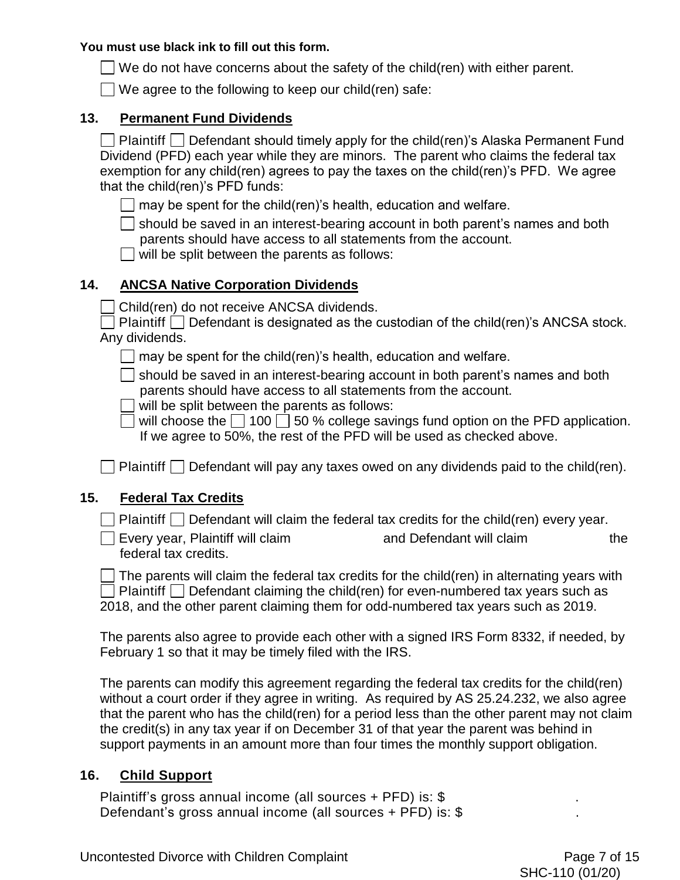- $\vert \ \vert$  We do not have concerns about the safety of the child(ren) with either parent.
- $\Box$  We agree to the following to keep our child(ren) safe:

### **13. Permanent Fund Dividends**

 $\Box$  Plaintiff  $\Box$  Defendant should timely apply for the child(ren)'s Alaska Permanent Fund Dividend (PFD) each year while they are minors. The parent who claims the federal tax exemption for any child(ren) agrees to pay the taxes on the child(ren)'s PFD. We agree that the child(ren)'s PFD funds:

 $\vert \ \vert$  may be spent for the child(ren)'s health, education and welfare.

 $\Box$  should be saved in an interest-bearing account in both parent's names and both parents should have access to all statements from the account.

 $\Box$  will be split between the parents as follows:

### **14. ANCSA Native Corporation Dividends**

Child(ren) do not receive ANCSA dividends.

 $\Box$  Plaintiff  $\Box$  Defendant is designated as the custodian of the child(ren)'s ANCSA stock. Any dividends.

 $\Box$  may be spent for the child(ren)'s health, education and welfare.

 $\Box$  should be saved in an interest-bearing account in both parent's names and both parents should have access to all statements from the account.

will be split between the parents as follows:

will choose the  $\Box$  100  $\Box$  50 % college savings fund option on the PFD application. If we agree to 50%, the rest of the PFD will be used as checked above.

 $\Box$  Plaintiff  $\Box$  Defendant will pay any taxes owed on any dividends paid to the child(ren).

### **15. Federal Tax Credits**

 $\Box$  Plaintiff  $\Box$  Defendant will claim the federal tax credits for the child(ren) every year.

 $\Box$  Every year, Plaintiff will claim and Defendant will claim the federal tax credits.

The parents will claim the federal tax credits for the child(ren) in alternating years with  $\Box$  Plaintiff  $\Box$  Defendant claiming the child(ren) for even-numbered tax years such as 2018, and the other parent claiming them for odd-numbered tax years such as 2019.

The parents also agree to provide each other with a signed IRS Form 8332, if needed, by February 1 so that it may be timely filed with the IRS.

The parents can modify this agreement regarding the federal tax credits for the child(ren) without a court order if they agree in writing. As required by AS 25.24.232, we also agree that the parent who has the child(ren) for a period less than the other parent may not claim the credit(s) in any tax year if on December 31 of that year the parent was behind in support payments in an amount more than four times the monthly support obligation.

### **16. Child Support**

Plaintiff's gross annual income (all sources  $+$  PFD) is:  $$$ Defendant's gross annual income (all sources  $+$  PFD) is: \$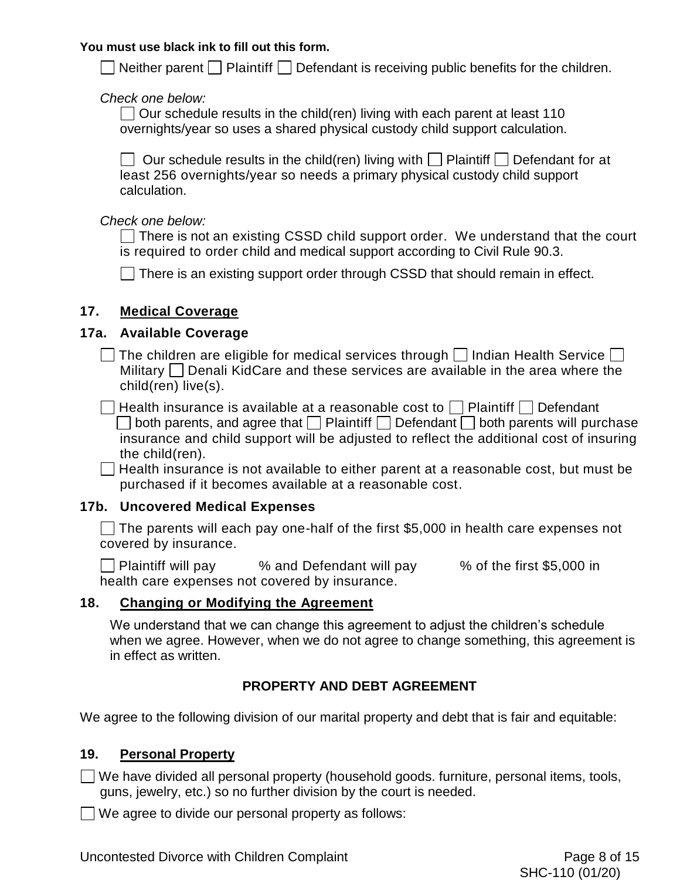$\Box$  Neither parent  $\Box$  Plaintiff  $\Box$  Defendant is receiving public benefits for the children.

*Check one below:*

 $\Box$  Our schedule results in the child(ren) living with each parent at least 110 overnights/year so uses a shared physical custody child support calculation.

 $\Box$  Our schedule results in the child(ren) living with  $\Box$  Plaintiff  $\Box$  Defendant for at least 256 overnights/year so needs a primary physical custody child support calculation.

*Check one below:*

 $\Box$  There is not an existing CSSD child support order. We understand that the court is required to order child and medical support according to Civil Rule 90.3.

 $\Box$  There is an existing support order through CSSD that should remain in effect.

## **17. Medical Coverage**

### **17a. Available Coverage**

 $\Box$  The children are eligible for medical services through  $\Box$  Indian Health Service  $\Box$ Military  $\Box$  Denali KidCare and these services are available in the area where the child(ren) live(s).

 $\Box$  Health insurance is available at a reasonable cost to  $\Box$  Plaintiff  $\Box$  Defendant  $\Box$  both parents, and agree that  $\Box$  Plaintiff  $\Box$  Defendant  $\Box$  both parents will purchase insurance and child support will be adjusted to reflect the additional cost of insuring the child(ren).

 $\Box$  Health insurance is not available to either parent at a reasonable cost, but must be purchased if it becomes available at a reasonable cost.

## **17b. Uncovered Medical Expenses**

 $\Box$  The parents will each pay one-half of the first \$5,000 in health care expenses not covered by insurance.

 $\Box$  Plaintiff will pay  $\Box$  % and Defendant will pay  $\Box$  % of the first \$5,000 in health care expenses not covered by insurance.

### **18. Changing or Modifying the Agreement**

We understand that we can change this agreement to adjust the children's schedule when we agree. However, when we do not agree to change something, this agreement is in effect as written.

## **PROPERTY AND DEBT AGREEMENT**

We agree to the following division of our marital property and debt that is fair and equitable:

### **19. Personal Property**

 $\Box$  We have divided all personal property (household goods. furniture, personal items, tools, guns, jewelry, etc.) so no further division by the court is needed.

 $\Box$  We agree to divide our personal property as follows:

Uncontested Divorce with Children Complaint **Page 8 of 15** Page 8 of 15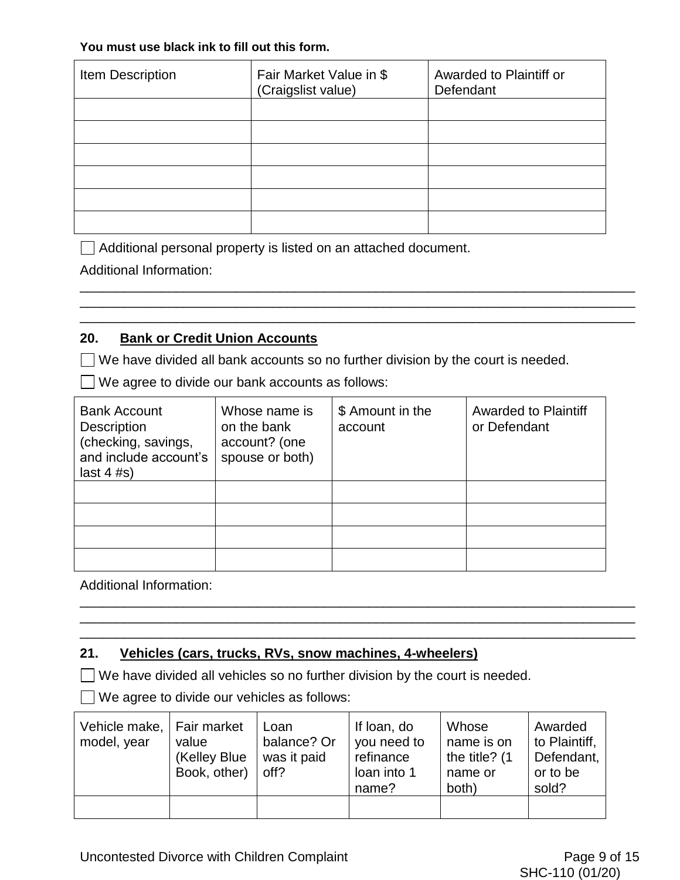| Item Description | Fair Market Value in \$<br>(Craigslist value) | Awarded to Plaintiff or<br>Defendant |
|------------------|-----------------------------------------------|--------------------------------------|
|                  |                                               |                                      |
|                  |                                               |                                      |
|                  |                                               |                                      |
|                  |                                               |                                      |
|                  |                                               |                                      |
|                  |                                               |                                      |

Additional personal property is listed on an attached document.

Additional Information:

## **20. Bank or Credit Union Accounts**

 $\Box$  We have divided all bank accounts so no further division by the court is needed.

\_\_\_\_\_\_\_\_\_\_\_\_\_\_\_\_\_\_\_\_\_\_\_\_\_\_\_\_\_\_\_\_\_\_\_\_\_\_\_\_\_\_\_\_\_\_\_\_\_\_\_\_\_\_\_\_\_\_\_\_\_\_\_\_\_\_\_\_\_\_\_\_\_\_\_ \_\_\_\_\_\_\_\_\_\_\_\_\_\_\_\_\_\_\_\_\_\_\_\_\_\_\_\_\_\_\_\_\_\_\_\_\_\_\_\_\_\_\_\_\_\_\_\_\_\_\_\_\_\_\_\_\_\_\_\_\_\_\_\_\_\_\_\_\_\_\_\_\_\_\_ \_\_\_\_\_\_\_\_\_\_\_\_\_\_\_\_\_\_\_\_\_\_\_\_\_\_\_\_\_\_\_\_\_\_\_\_\_\_\_\_\_\_\_\_\_\_\_\_\_\_\_\_\_\_\_\_\_\_\_\_\_\_\_\_\_\_\_\_\_\_\_\_\_\_\_

□ We agree to divide our bank accounts as follows:

| <b>Bank Account</b><br>Description<br>(checking, savings,<br>and include account's<br>last $4$ #s) | Whose name is<br>on the bank<br>account? (one<br>spouse or both) | \$ Amount in the<br>account | <b>Awarded to Plaintiff</b><br>or Defendant |
|----------------------------------------------------------------------------------------------------|------------------------------------------------------------------|-----------------------------|---------------------------------------------|
|                                                                                                    |                                                                  |                             |                                             |
|                                                                                                    |                                                                  |                             |                                             |
|                                                                                                    |                                                                  |                             |                                             |
|                                                                                                    |                                                                  |                             |                                             |

\_\_\_\_\_\_\_\_\_\_\_\_\_\_\_\_\_\_\_\_\_\_\_\_\_\_\_\_\_\_\_\_\_\_\_\_\_\_\_\_\_\_\_\_\_\_\_\_\_\_\_\_\_\_\_\_\_\_\_\_\_\_\_\_\_\_\_\_\_\_\_\_\_\_\_ \_\_\_\_\_\_\_\_\_\_\_\_\_\_\_\_\_\_\_\_\_\_\_\_\_\_\_\_\_\_\_\_\_\_\_\_\_\_\_\_\_\_\_\_\_\_\_\_\_\_\_\_\_\_\_\_\_\_\_\_\_\_\_\_\_\_\_\_\_\_\_\_\_\_\_ \_\_\_\_\_\_\_\_\_\_\_\_\_\_\_\_\_\_\_\_\_\_\_\_\_\_\_\_\_\_\_\_\_\_\_\_\_\_\_\_\_\_\_\_\_\_\_\_\_\_\_\_\_\_\_\_\_\_\_\_\_\_\_\_\_\_\_\_\_\_\_\_\_\_\_

Additional Information:

## **21. Vehicles (cars, trucks, RVs, snow machines, 4-wheelers)**

 $\Box$  We have divided all vehicles so no further division by the court is needed.

We agree to divide our vehicles as follows:

| Vehicle make,   Fair market<br>model, year | value<br>(Kelley Blue)<br>Book, other) | Loan<br>balance? Or<br>was it paid<br>off? | If Ioan, do<br>you need to<br>refinance<br>loan into 1<br>name? | Whose<br>name is on<br>the title? (1<br>name or<br>both) | Awarded<br>to Plaintiff,<br>Defendant,<br>or to be<br>sold? |
|--------------------------------------------|----------------------------------------|--------------------------------------------|-----------------------------------------------------------------|----------------------------------------------------------|-------------------------------------------------------------|
|                                            |                                        |                                            |                                                                 |                                                          |                                                             |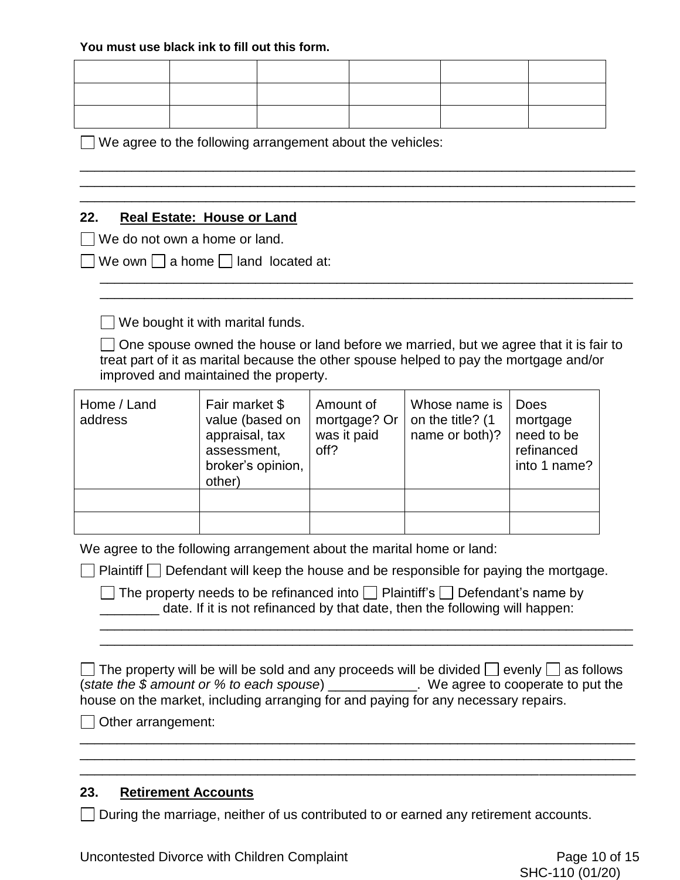|                               | You must use black ink to fill out this form.                                                                                                                                                                                                                                        |                                                  |                                                     |                                                              |
|-------------------------------|--------------------------------------------------------------------------------------------------------------------------------------------------------------------------------------------------------------------------------------------------------------------------------------|--------------------------------------------------|-----------------------------------------------------|--------------------------------------------------------------|
|                               |                                                                                                                                                                                                                                                                                      |                                                  |                                                     |                                                              |
|                               |                                                                                                                                                                                                                                                                                      |                                                  |                                                     |                                                              |
|                               |                                                                                                                                                                                                                                                                                      |                                                  |                                                     |                                                              |
|                               | We agree to the following arrangement about the vehicles:                                                                                                                                                                                                                            |                                                  |                                                     |                                                              |
|                               |                                                                                                                                                                                                                                                                                      |                                                  |                                                     |                                                              |
| 22.                           | <b>Real Estate: House or Land</b>                                                                                                                                                                                                                                                    |                                                  |                                                     |                                                              |
| We do not own a home or land. |                                                                                                                                                                                                                                                                                      |                                                  |                                                     |                                                              |
|                               | We own $\Box$ a home $\Box$ land located at:                                                                                                                                                                                                                                         |                                                  |                                                     |                                                              |
|                               |                                                                                                                                                                                                                                                                                      |                                                  |                                                     |                                                              |
|                               | One spouse owned the house or land before we married, but we agree that it is fair to<br>treat part of it as marital because the other spouse helped to pay the mortgage and/or<br>improved and maintained the property.                                                             |                                                  |                                                     |                                                              |
| Home / Land<br>address        | Fair market \$<br>value (based on<br>appraisal, tax<br>assessment,<br>broker's opinion,<br>other)                                                                                                                                                                                    | Amount of<br>mortgage? Or<br>was it paid<br>off? | Whose name is<br>on the title? (1<br>name or both)? | Does<br>mortgage<br>need to be<br>refinanced<br>into 1 name? |
|                               |                                                                                                                                                                                                                                                                                      |                                                  |                                                     |                                                              |
|                               |                                                                                                                                                                                                                                                                                      |                                                  |                                                     |                                                              |
|                               | We agree to the following arrangement about the marital home or land:<br>Plaintiff $\Box$ Defendant will keep the house and be responsible for paying the mortgage.                                                                                                                  |                                                  |                                                     |                                                              |
|                               | The property needs to be refinanced into $\Box$ Plaintiff's $\Box$ Defendant's name by<br>date. If it is not refinanced by that date, then the following will happen:                                                                                                                |                                                  |                                                     |                                                              |
|                               |                                                                                                                                                                                                                                                                                      |                                                  |                                                     |                                                              |
|                               | The property will be will be sold and any proceeds will be divided $\Box$ evenly $\Box$ as follows<br>(state the \$ amount or % to each spouse) ____________. We agree to cooperate to put the<br>house on the market, including arranging for and paying for any necessary repairs. |                                                  |                                                     |                                                              |

Other arrangement: \_\_\_\_\_\_\_\_\_\_\_\_\_\_\_\_\_\_\_\_\_\_\_\_\_\_\_\_\_\_\_\_\_\_\_\_\_\_\_\_\_\_\_\_\_\_\_\_\_\_\_\_\_\_\_\_\_\_\_\_\_\_\_\_\_\_\_\_\_\_\_\_\_\_\_

## **23. Retirement Accounts**

During the marriage, neither of us contributed to or earned any retirement accounts.

\_\_\_\_\_\_\_\_\_\_\_\_\_\_\_\_\_\_\_\_\_\_\_\_\_\_\_\_\_\_\_\_\_\_\_\_\_\_\_\_\_\_\_\_\_\_\_\_\_\_\_\_\_\_\_\_\_\_\_\_\_\_\_\_\_\_\_\_\_\_\_\_\_\_\_ \_\_\_\_\_\_\_\_\_\_\_\_\_\_\_\_\_\_\_\_\_\_\_\_\_\_\_\_\_\_\_\_\_\_\_\_\_\_\_\_\_\_\_\_\_\_\_\_\_\_\_\_\_\_\_\_\_\_\_\_\_\_\_\_\_\_\_\_\_\_\_\_\_\_\_

Uncontested Divorce with Children Complaint **Page 10 of 15** Page 10 of 15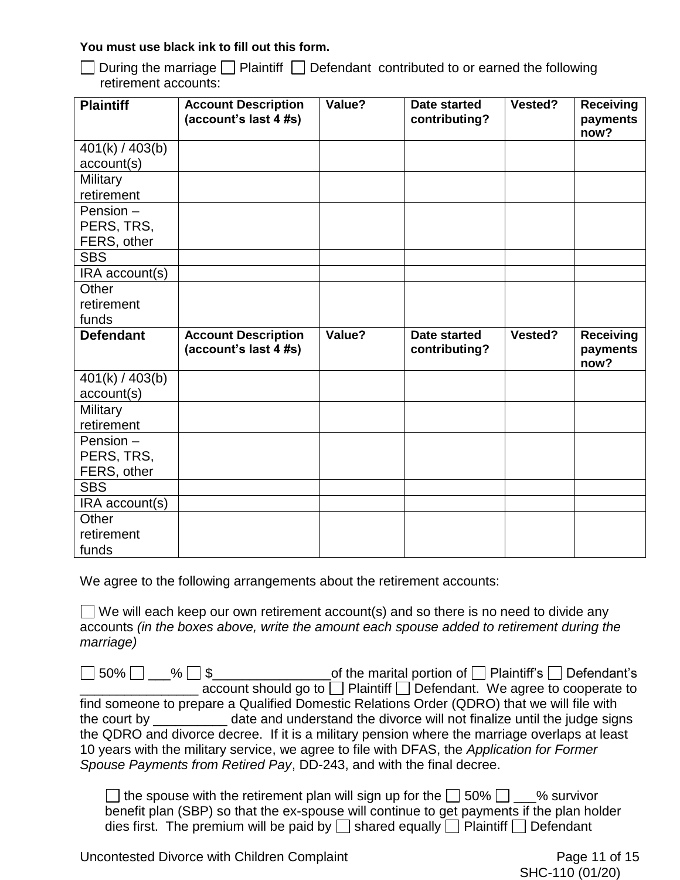$\Box$  During the marriage  $\Box$  Plaintiff  $\Box$  Defendant contributed to or earned the following retirement accounts:

| <b>Plaintiff</b>    | <b>Account Description</b><br>(account's last 4 #s) | Value? | <b>Date started</b><br>contributing? | <b>Vested?</b> | <b>Receiving</b><br>payments<br>now? |
|---------------------|-----------------------------------------------------|--------|--------------------------------------|----------------|--------------------------------------|
| 401(k) / 403(b)     |                                                     |        |                                      |                |                                      |
| account(s)          |                                                     |        |                                      |                |                                      |
| Military            |                                                     |        |                                      |                |                                      |
| retirement          |                                                     |        |                                      |                |                                      |
| Pension -           |                                                     |        |                                      |                |                                      |
| PERS, TRS,          |                                                     |        |                                      |                |                                      |
| FERS, other         |                                                     |        |                                      |                |                                      |
| <b>SBS</b>          |                                                     |        |                                      |                |                                      |
| IRA account(s)      |                                                     |        |                                      |                |                                      |
| Other               |                                                     |        |                                      |                |                                      |
| retirement          |                                                     |        |                                      |                |                                      |
| funds               |                                                     |        |                                      |                |                                      |
|                     |                                                     |        |                                      |                |                                      |
| <b>Defendant</b>    | <b>Account Description</b><br>(account's last 4 #s) | Value? | <b>Date started</b><br>contributing? | <b>Vested?</b> | <b>Receiving</b><br>payments<br>now? |
| 401(k) / 403(b)     |                                                     |        |                                      |                |                                      |
| account(s)          |                                                     |        |                                      |                |                                      |
| <b>Military</b>     |                                                     |        |                                      |                |                                      |
| retirement          |                                                     |        |                                      |                |                                      |
| Pension -           |                                                     |        |                                      |                |                                      |
| PERS, TRS,          |                                                     |        |                                      |                |                                      |
| FERS, other         |                                                     |        |                                      |                |                                      |
| <b>SBS</b>          |                                                     |        |                                      |                |                                      |
| IRA account(s)      |                                                     |        |                                      |                |                                      |
| Other               |                                                     |        |                                      |                |                                      |
| retirement<br>funds |                                                     |        |                                      |                |                                      |

We agree to the following arrangements about the retirement accounts:

 $\Box$  We will each keep our own retirement account(s) and so there is no need to divide any accounts *(in the boxes above, write the amount each spouse added to retirement during the marriage)*

| $\Box$ 50% $\Box$ % $\Box$ \$ | of the marital portion of $\Box$ Plaintiff's $\Box$ Defendant's                               |
|-------------------------------|-----------------------------------------------------------------------------------------------|
|                               | account should go to $\Box$ Plaintiff $\Box$ Defendant. We agree to cooperate to              |
|                               | find someone to prepare a Qualified Domestic Relations Order (QDRO) that we will file with    |
|                               | the court by date and understand the divorce will not finalize until the judge signs          |
|                               | the QDRO and divorce decree. If it is a military pension where the marriage overlaps at least |
|                               | 10 years with the military service, we agree to file with DFAS, the Application for Former    |
|                               | Spouse Payments from Retired Pay, DD-243, and with the final decree.                          |

 $\Box$  the spouse with the retirement plan will sign up for the  $\Box$  50%  $\Box$  % survivor benefit plan (SBP) so that the ex-spouse will continue to get payments if the plan holder dies first. The premium will be paid by  $\Box$  shared equally  $\Box$  Plaintiff  $\Box$  Defendant

Uncontested Divorce with Children Complaint **Page 11 of 15** Page 11 of 15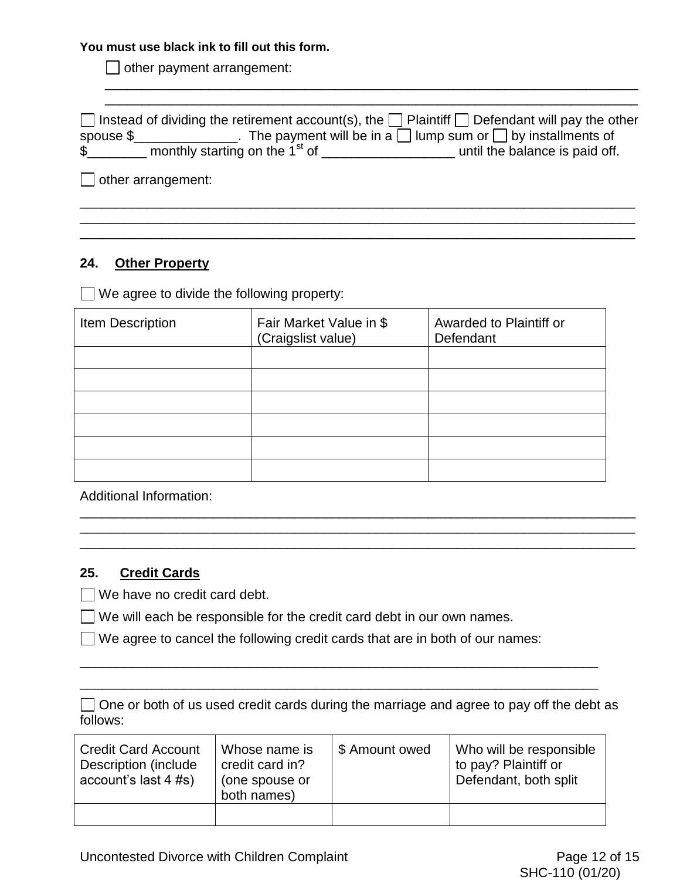$\Box$  other payment arrangement:

| $\Box$ Instead of dividing the retirement account(s), the $\Box$ Plaintiff $\Box$ Defendant will pay the other |                                |
|----------------------------------------------------------------------------------------------------------------|--------------------------------|
| spouse \$ ________________. The payment will be in a $\Box$ lump sum or $\Box$ by installments of              |                                |
| monthly starting on the 1 <sup>st</sup> of _________________                                                   | until the balance is paid off. |
| $\Box$ other arrangement:                                                                                      |                                |

\_\_\_\_\_\_\_\_\_\_\_\_\_\_\_\_\_\_\_\_\_\_\_\_\_\_\_\_\_\_\_\_\_\_\_\_\_\_\_\_\_\_\_\_\_\_\_\_\_\_\_\_\_\_\_\_\_\_\_\_\_\_\_\_\_\_\_\_\_\_\_\_\_\_\_ \_\_\_\_\_\_\_\_\_\_\_\_\_\_\_\_\_\_\_\_\_\_\_\_\_\_\_\_\_\_\_\_\_\_\_\_\_\_\_\_\_\_\_\_\_\_\_\_\_\_\_\_\_\_\_\_\_\_\_\_\_\_\_\_\_\_\_\_\_\_\_\_\_\_\_ \_\_\_\_\_\_\_\_\_\_\_\_\_\_\_\_\_\_\_\_\_\_\_\_\_\_\_\_\_\_\_\_\_\_\_\_\_\_\_\_\_\_\_\_\_\_\_\_\_\_\_\_\_\_\_\_\_\_\_\_\_\_\_\_\_\_\_\_\_\_\_\_\_\_\_

\_\_\_\_\_\_\_\_\_\_\_\_\_\_\_\_\_\_\_\_\_\_\_\_\_\_\_\_\_\_\_\_\_\_\_\_\_\_\_\_\_\_\_\_\_\_\_\_\_\_\_\_\_\_\_\_\_\_\_\_\_\_\_\_\_\_\_\_\_\_\_\_ \_\_\_\_\_\_\_\_\_\_\_\_\_\_\_\_\_\_\_\_\_\_\_\_\_\_\_\_\_\_\_\_\_\_\_\_\_\_\_\_\_\_\_\_\_\_\_\_\_\_\_\_\_\_\_\_\_\_\_\_\_\_\_\_\_\_\_\_\_\_\_\_

### **24. Other Property**

 $\Box$  We agree to divide the following property:

| Item Description | Fair Market Value in \$<br>(Craigslist value) | Awarded to Plaintiff or<br>Defendant |
|------------------|-----------------------------------------------|--------------------------------------|
|                  |                                               |                                      |
|                  |                                               |                                      |
|                  |                                               |                                      |
|                  |                                               |                                      |
|                  |                                               |                                      |
|                  |                                               |                                      |

\_\_\_\_\_\_\_\_\_\_\_\_\_\_\_\_\_\_\_\_\_\_\_\_\_\_\_\_\_\_\_\_\_\_\_\_\_\_\_\_\_\_\_\_\_\_\_\_\_\_\_\_\_\_\_\_\_\_\_\_\_\_\_\_\_\_\_\_\_\_\_\_\_\_\_ \_\_\_\_\_\_\_\_\_\_\_\_\_\_\_\_\_\_\_\_\_\_\_\_\_\_\_\_\_\_\_\_\_\_\_\_\_\_\_\_\_\_\_\_\_\_\_\_\_\_\_\_\_\_\_\_\_\_\_\_\_\_\_\_\_\_\_\_\_\_\_\_\_\_\_ \_\_\_\_\_\_\_\_\_\_\_\_\_\_\_\_\_\_\_\_\_\_\_\_\_\_\_\_\_\_\_\_\_\_\_\_\_\_\_\_\_\_\_\_\_\_\_\_\_\_\_\_\_\_\_\_\_\_\_\_\_\_\_\_\_\_\_\_\_\_\_\_\_\_\_

Additional Information:

### **25. Credit Cards**

 $\Box$  We have no credit card debt.

 $\Box$  We will each be responsible for the credit card debt in our own names.

 $\Box$  We agree to cancel the following credit cards that are in both of our names:

 $\Box$  One or both of us used credit cards during the marriage and agree to pay off the debt as follows:

\_\_\_\_\_\_\_\_\_\_\_\_\_\_\_\_\_\_\_\_\_\_\_\_\_\_\_\_\_\_\_\_\_\_\_\_\_\_\_\_\_\_\_\_\_\_\_\_\_\_\_\_\_\_\_\_\_\_\_\_\_\_\_\_\_\_\_\_\_\_ \_\_\_\_\_\_\_\_\_\_\_\_\_\_\_\_\_\_\_\_\_\_\_\_\_\_\_\_\_\_\_\_\_\_\_\_\_\_\_\_\_\_\_\_\_\_\_\_\_\_\_\_\_\_\_\_\_\_\_\_\_\_\_\_\_\_\_\_\_\_

| <b>Credit Card Account</b><br>Description (include<br>account's last 4 #s) | Whose name is<br>credit card in?<br>(one spouse or<br>both names) | \$ Amount owed | Who will be responsible<br>to pay? Plaintiff or<br>Defendant, both split |
|----------------------------------------------------------------------------|-------------------------------------------------------------------|----------------|--------------------------------------------------------------------------|
|                                                                            |                                                                   |                |                                                                          |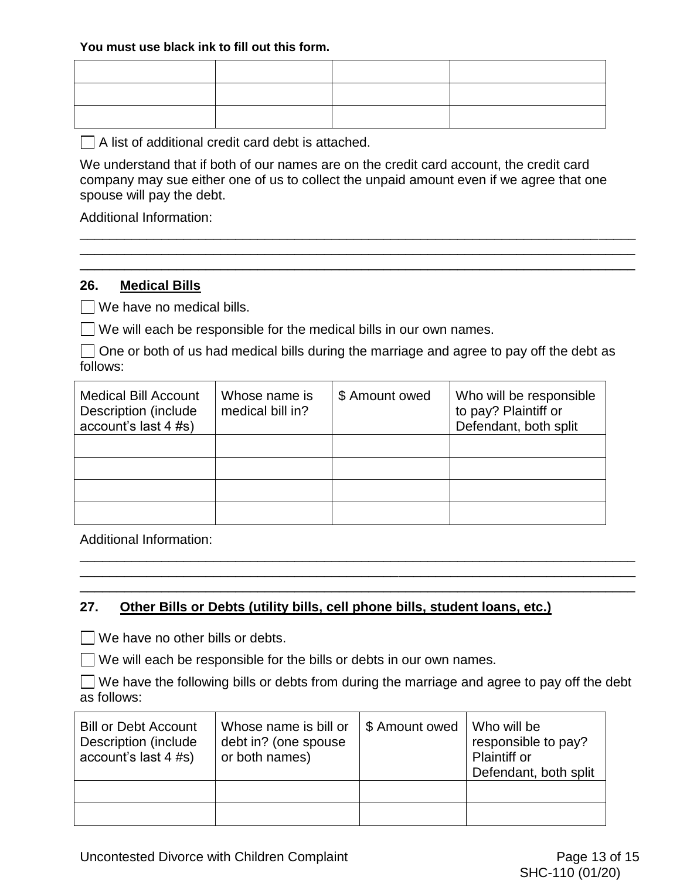$\Box$  A list of additional credit card debt is attached.

We understand that if both of our names are on the credit card account, the credit card company may sue either one of us to collect the unpaid amount even if we agree that one spouse will pay the debt.

\_\_\_\_\_\_\_\_\_\_\_\_\_\_\_\_\_\_\_\_\_\_\_\_\_\_\_\_\_\_\_\_\_\_\_\_\_\_\_\_\_\_\_\_\_\_\_\_\_\_\_\_\_\_\_\_\_\_\_\_\_\_\_\_\_\_\_\_\_\_\_\_\_\_\_ \_\_\_\_\_\_\_\_\_\_\_\_\_\_\_\_\_\_\_\_\_\_\_\_\_\_\_\_\_\_\_\_\_\_\_\_\_\_\_\_\_\_\_\_\_\_\_\_\_\_\_\_\_\_\_\_\_\_\_\_\_\_\_\_\_\_\_\_\_\_\_\_\_\_\_ \_\_\_\_\_\_\_\_\_\_\_\_\_\_\_\_\_\_\_\_\_\_\_\_\_\_\_\_\_\_\_\_\_\_\_\_\_\_\_\_\_\_\_\_\_\_\_\_\_\_\_\_\_\_\_\_\_\_\_\_\_\_\_\_\_\_\_\_\_\_\_\_\_\_\_

Additional Information:

### **26. Medical Bills**

 $\Box$  We have no medical bills.

 $\Box$  We will each be responsible for the medical bills in our own names.

 $\Box$  One or both of us had medical bills during the marriage and agree to pay off the debt as follows:

| <b>Medical Bill Account</b><br>Description (include<br>account's last 4 #s) | Whose name is<br>medical bill in? | \$ Amount owed | Who will be responsible<br>to pay? Plaintiff or<br>Defendant, both split |
|-----------------------------------------------------------------------------|-----------------------------------|----------------|--------------------------------------------------------------------------|
|                                                                             |                                   |                |                                                                          |
|                                                                             |                                   |                |                                                                          |
|                                                                             |                                   |                |                                                                          |
|                                                                             |                                   |                |                                                                          |

Additional Information:

## **27. Other Bills or Debts (utility bills, cell phone bills, student loans, etc.)**

 $\Box$  We have no other bills or debts.

 $\Box$  We will each be responsible for the bills or debts in our own names.

 $\Box$  We have the following bills or debts from during the marriage and agree to pay off the debt as follows:

\_\_\_\_\_\_\_\_\_\_\_\_\_\_\_\_\_\_\_\_\_\_\_\_\_\_\_\_\_\_\_\_\_\_\_\_\_\_\_\_\_\_\_\_\_\_\_\_\_\_\_\_\_\_\_\_\_\_\_\_\_\_\_\_\_\_\_\_\_\_\_\_\_\_\_ \_\_\_\_\_\_\_\_\_\_\_\_\_\_\_\_\_\_\_\_\_\_\_\_\_\_\_\_\_\_\_\_\_\_\_\_\_\_\_\_\_\_\_\_\_\_\_\_\_\_\_\_\_\_\_\_\_\_\_\_\_\_\_\_\_\_\_\_\_\_\_\_\_\_\_ \_\_\_\_\_\_\_\_\_\_\_\_\_\_\_\_\_\_\_\_\_\_\_\_\_\_\_\_\_\_\_\_\_\_\_\_\_\_\_\_\_\_\_\_\_\_\_\_\_\_\_\_\_\_\_\_\_\_\_\_\_\_\_\_\_\_\_\_\_\_\_\_\_\_\_

| <b>Bill or Debt Account</b><br>Description (include<br>account's last 4 #s) | Whose name is bill or<br>debt in? (one spouse<br>or both names) | \$ Amount owed   Who will be | responsible to pay?<br><b>Plaintiff or</b><br>Defendant, both split |
|-----------------------------------------------------------------------------|-----------------------------------------------------------------|------------------------------|---------------------------------------------------------------------|
|                                                                             |                                                                 |                              |                                                                     |
|                                                                             |                                                                 |                              |                                                                     |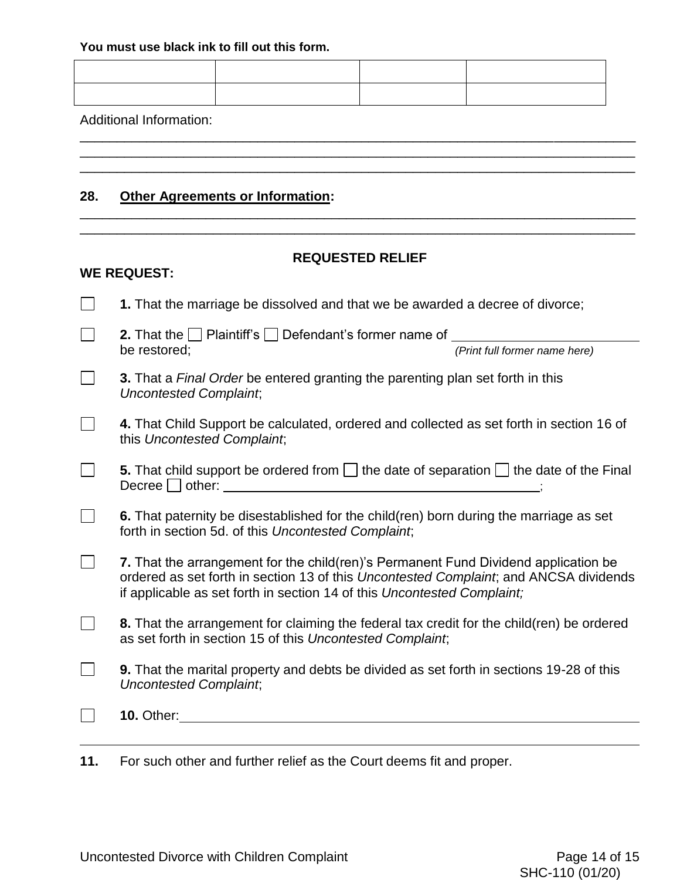|     | You must use black ink to fill out this form.                                                                                                                                                            |
|-----|----------------------------------------------------------------------------------------------------------------------------------------------------------------------------------------------------------|
|     |                                                                                                                                                                                                          |
|     |                                                                                                                                                                                                          |
|     | Additional Information:                                                                                                                                                                                  |
|     |                                                                                                                                                                                                          |
| 28. | <b>Other Agreements or Information:</b>                                                                                                                                                                  |
|     | <b>REQUESTED RELIEF</b><br><b>WE REQUEST:</b>                                                                                                                                                            |
|     | 1. That the marriage be dissolved and that we be awarded a decree of divorce;                                                                                                                            |
|     | <b>2.</b> That the Plaintiff's Defendant's former name of <u>second</u>                                                                                                                                  |
|     | be restored;<br>(Print full former name here)                                                                                                                                                            |
|     | 3. That a Final Order be entered granting the parenting plan set forth in this<br><b>Uncontested Complaint,</b>                                                                                          |
|     | 4. That Child Support be calculated, ordered and collected as set forth in section 16 of<br>this Uncontested Complaint;                                                                                  |
|     | <b>5.</b> That child support be ordered from $\Box$ the date of separation $\Box$ the date of the Final<br>other:<br>Decree $\vert \ \vert$<br><u> 1989 - Johann Barnett, fransk politiker (d. 1989)</u> |

| 6. That paternity be disestablished for the child(ren) born during the marriage as set |
|----------------------------------------------------------------------------------------|
| forth in section 5d. of this Uncontested Complaint,                                    |

| 7. That the arrangement for the child(ren)'s Permanent Fund Dividend application be   |
|---------------------------------------------------------------------------------------|
| ordered as set forth in section 13 of this Uncontested Complaint, and ANCSA dividends |
| if applicable as set forth in section 14 of this Uncontested Complaint;               |

- $\Box$ **8.** That the arrangement for claiming the federal tax credit for the child(ren) be ordered as set forth in section 15 of this *Uncontested Complaint*;
- **9.** That the marital property and debts be divided as set forth in sections 19-28 of this  $\Box$ *Uncontested Complaint*;
- **10.** Other:  $\Box$

**11.** For such other and further relief as the Court deems fit and proper.